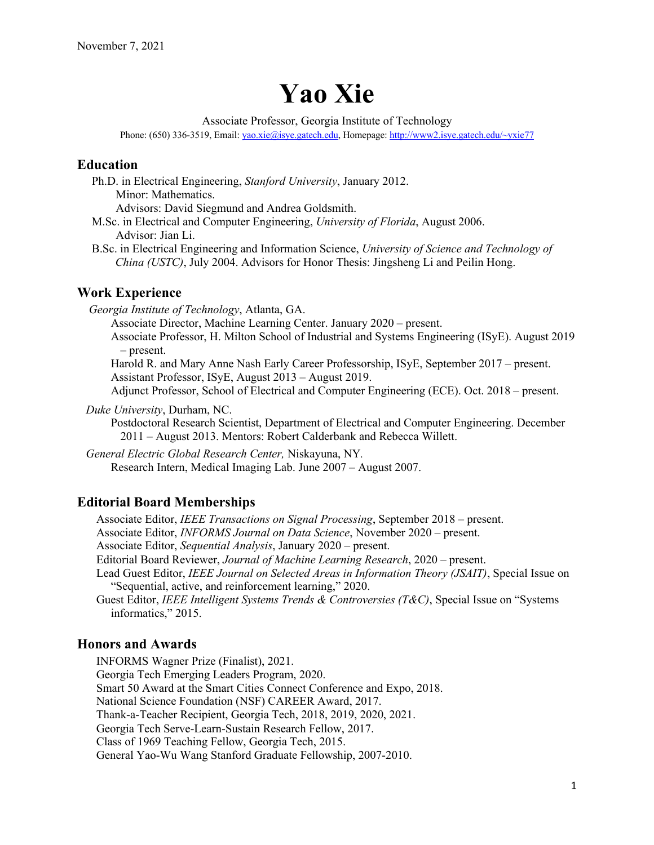# **Yao Xie**

Associate Professor, Georgia Institute of Technology

Phone: (650) 336-3519, Email: yao.xie@isye.gatech.edu, Homepage: http://www2.isye.gatech.edu/~yxie77

# **Education**

 Ph.D. in Electrical Engineering, *Stanford University*, January 2012. Minor: Mathematics.

Advisors: David Siegmund and Andrea Goldsmith.

- M.Sc. in Electrical and Computer Engineering, *University of Florida*, August 2006. Advisor: Jian Li.
- B.Sc. in Electrical Engineering and Information Science, *University of Science and Technology of China (USTC)*, July 2004. Advisors for Honor Thesis: Jingsheng Li and Peilin Hong.

# **Work Experience**

 *Georgia Institute of Technology*, Atlanta, GA.

Associate Director, Machine Learning Center. January 2020 – present.

Associate Professor, H. Milton School of Industrial and Systems Engineering (ISyE). August 2019 – present.

 Harold R. and Mary Anne Nash Early Career Professorship, ISyE, September 2017 – present. Assistant Professor, ISyE, August 2013 – August 2019.

Adjunct Professor, School of Electrical and Computer Engineering (ECE). Oct. 2018 – present.

*Duke University*, Durham, NC.

Postdoctoral Research Scientist, Department of Electrical and Computer Engineering. December 2011 – August 2013. Mentors: Robert Calderbank and Rebecca Willett.

 *General Electric Global Research Center,* Niskayuna, NY*.*

Research Intern, Medical Imaging Lab. June 2007 – August 2007.

## **Editorial Board Memberships**

Associate Editor, *IEEE Transactions on Signal Processing*, September 2018 – present.

Associate Editor, *INFORMS Journal on Data Science*, November 2020 – present.

Associate Editor, *Sequential Analysis*, January 2020 – present.

Editorial Board Reviewer, *Journal of Machine Learning Research*, 2020 – present.

Lead Guest Editor, *IEEE Journal on Selected Areas in Information Theory (JSAIT)*, Special Issue on "Sequential, active, and reinforcement learning," 2020.

Guest Editor, *IEEE Intelligent Systems Trends & Controversies (T&C)*, Special Issue on "Systems informatics," 2015.

# **Honors and Awards**

INFORMS Wagner Prize (Finalist), 2021. Georgia Tech Emerging Leaders Program, 2020. Smart 50 Award at the Smart Cities Connect Conference and Expo, 2018. National Science Foundation (NSF) CAREER Award, 2017. Thank-a-Teacher Recipient, Georgia Tech, 2018, 2019, 2020, 2021. Georgia Tech Serve-Learn-Sustain Research Fellow, 2017. Class of 1969 Teaching Fellow, Georgia Tech, 2015. General Yao-Wu Wang Stanford Graduate Fellowship, 2007-2010.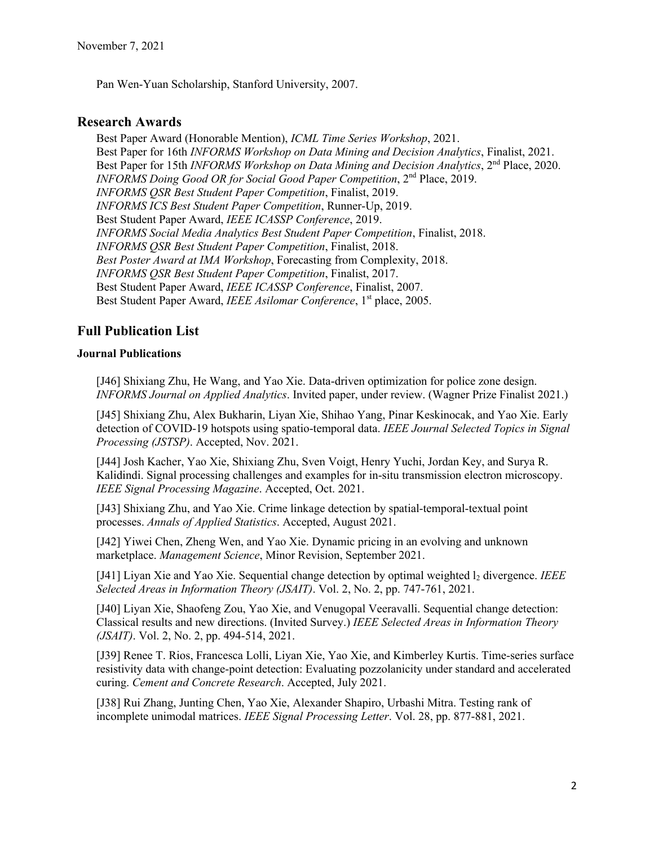Pan Wen-Yuan Scholarship, Stanford University, 2007.

# **Research Awards**

Best Paper Award (Honorable Mention), *ICML Time Series Workshop*, 2021. Best Paper for 16th *INFORMS Workshop on Data Mining and Decision Analytics*, Finalist, 2021. Best Paper for 15th *INFORMS Workshop on Data Mining and Decision Analytics*, 2<sup>nd</sup> Place, 2020. *INFORMS Doing Good OR for Social Good Paper Competition*, 2nd Place, 2019. *INFORMS QSR Best Student Paper Competition*, Finalist, 2019. *INFORMS ICS Best Student Paper Competition*, Runner-Up, 2019. Best Student Paper Award, *IEEE ICASSP Conference*, 2019. *INFORMS Social Media Analytics Best Student Paper Competition*, Finalist, 2018. *INFORMS QSR Best Student Paper Competition*, Finalist, 2018. *Best Poster Award at IMA Workshop*, Forecasting from Complexity, 2018. *INFORMS QSR Best Student Paper Competition*, Finalist, 2017. Best Student Paper Award, *IEEE ICASSP Conference*, Finalist, 2007. Best Student Paper Award, *IEEE Asilomar Conference*, 1<sup>st</sup> place, 2005.

# **Full Publication List**

#### **Journal Publications**

[J46] Shixiang Zhu, He Wang, and Yao Xie. Data-driven optimization for police zone design. *INFORMS Journal on Applied Analytics*. Invited paper, under review. (Wagner Prize Finalist 2021.)

[J45] Shixiang Zhu, Alex Bukharin, Liyan Xie, Shihao Yang, Pinar Keskinocak, and Yao Xie. Early detection of COVID-19 hotspots using spatio-temporal data. *IEEE Journal Selected Topics in Signal Processing (JSTSP)*. Accepted, Nov. 2021.

[J44] Josh Kacher, Yao Xie, Shixiang Zhu, Sven Voigt, Henry Yuchi, Jordan Key, and Surya R. Kalidindi. Signal processing challenges and examples for in-situ transmission electron microscopy. *IEEE Signal Processing Magazine*. Accepted, Oct. 2021.

[J43] Shixiang Zhu, and Yao Xie. Crime linkage detection by spatial-temporal-textual point processes. *Annals of Applied Statistics*. Accepted, August 2021.

[J42] Yiwei Chen, Zheng Wen, and Yao Xie. Dynamic pricing in an evolving and unknown marketplace. *Management Science*, Minor Revision, September 2021.

[J41] Liyan Xie and Yao Xie. Sequential change detection by optimal weighted l2 divergence. *IEEE Selected Areas in Information Theory (JSAIT)*. Vol. 2, No. 2, pp. 747-761, 2021.

[J40] Liyan Xie, Shaofeng Zou, Yao Xie, and Venugopal Veeravalli. Sequential change detection: Classical results and new directions. (Invited Survey.) *IEEE Selected Areas in Information Theory (JSAIT)*. Vol. 2, No. 2, pp. 494-514, 2021.

[J39] Renee T. Rios, Francesca Lolli, Liyan Xie, Yao Xie, and Kimberley Kurtis. Time-series surface resistivity data with change-point detection: Evaluating pozzolanicity under standard and accelerated curing. *Cement and Concrete Research*. Accepted, July 2021.

[J38] Rui Zhang, Junting Chen, Yao Xie, Alexander Shapiro, Urbashi Mitra. Testing rank of incomplete unimodal matrices. *IEEE Signal Processing Letter*. Vol. 28, pp. 877-881, 2021.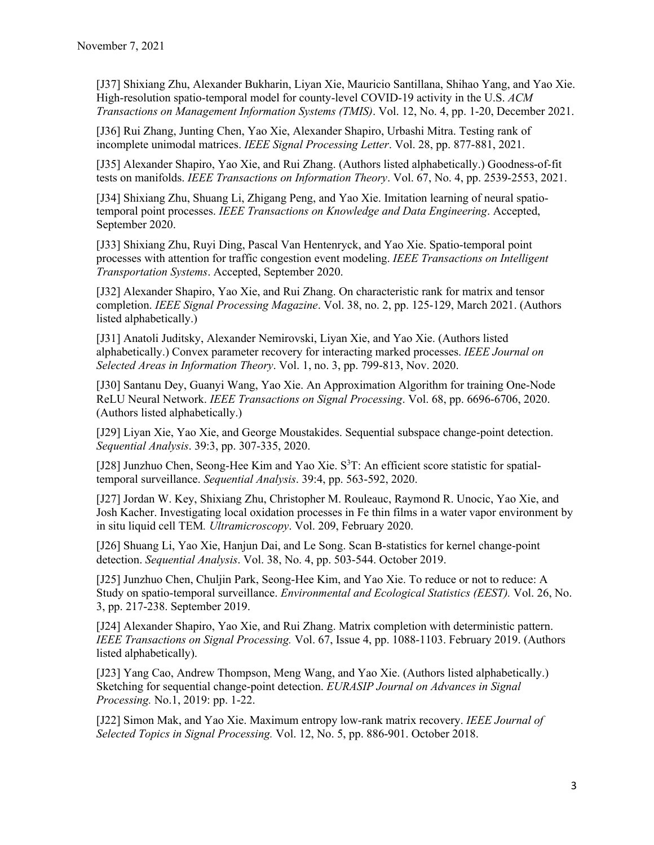[J37] Shixiang Zhu, Alexander Bukharin, Liyan Xie, Mauricio Santillana, Shihao Yang, and Yao Xie. High-resolution spatio-temporal model for county-level COVID-19 activity in the U.S. *ACM Transactions on Management Information Systems (TMIS)*. Vol. 12, No. 4, pp. 1-20, December 2021.

[J36] Rui Zhang, Junting Chen, Yao Xie, Alexander Shapiro, Urbashi Mitra. Testing rank of incomplete unimodal matrices. *IEEE Signal Processing Letter*. Vol. 28, pp. 877-881, 2021.

[J35] Alexander Shapiro, Yao Xie, and Rui Zhang. (Authors listed alphabetically.) Goodness-of-fit tests on manifolds. *IEEE Transactions on Information Theory*. Vol. 67, No. 4, pp. 2539-2553, 2021.

[J34] Shixiang Zhu, Shuang Li, Zhigang Peng, and Yao Xie. Imitation learning of neural spatiotemporal point processes. *IEEE Transactions on Knowledge and Data Engineering*. Accepted, September 2020.

[J33] Shixiang Zhu, Ruyi Ding, Pascal Van Hentenryck, and Yao Xie. Spatio-temporal point processes with attention for traffic congestion event modeling. *IEEE Transactions on Intelligent Transportation Systems*. Accepted, September 2020.

[J32] Alexander Shapiro, Yao Xie, and Rui Zhang. On characteristic rank for matrix and tensor completion. *IEEE Signal Processing Magazine*. Vol. 38, no. 2, pp. 125-129, March 2021. (Authors listed alphabetically.)

[J31] Anatoli Juditsky, Alexander Nemirovski, Liyan Xie, and Yao Xie. (Authors listed alphabetically.) Convex parameter recovery for interacting marked processes. *IEEE Journal on Selected Areas in Information Theory*. Vol. 1, no. 3, pp. 799-813, Nov. 2020.

[J30] Santanu Dey, Guanyi Wang, Yao Xie. An Approximation Algorithm for training One-Node ReLU Neural Network. *IEEE Transactions on Signal Processing*. Vol. 68, pp. 6696-6706, 2020. (Authors listed alphabetically.)

[J29] Liyan Xie, Yao Xie, and George Moustakides. Sequential subspace change-point detection. *Sequential Analysis*. 39:3, pp. 307-335, 2020.

[J28] Junzhuo Chen, Seong-Hee Kim and Yao Xie. S<sup>3</sup>T: An efficient score statistic for spatialtemporal surveillance. *Sequential Analysis*. 39:4, pp. 563-592, 2020.

[J27] Jordan W. Key, Shixiang Zhu, Christopher M. Rouleauc, Raymond R. Unocic, Yao Xie, and Josh Kacher. Investigating local oxidation processes in Fe thin films in a water vapor environment by in situ liquid cell TEM*. Ultramicroscopy*. Vol. 209, February 2020.

[J26] Shuang Li, Yao Xie, Hanjun Dai, and Le Song. Scan B-statistics for kernel change-point detection. *Sequential Analysis*. Vol. 38, No. 4, pp. 503-544. October 2019.

[J25] Junzhuo Chen, Chuljin Park, Seong-Hee Kim, and Yao Xie. To reduce or not to reduce: A Study on spatio-temporal surveillance. *Environmental and Ecological Statistics (EEST).* Vol. 26, No. 3, pp. 217-238. September 2019.

[J24] Alexander Shapiro, Yao Xie, and Rui Zhang. Matrix completion with deterministic pattern. *IEEE Transactions on Signal Processing.* Vol. 67, Issue 4, pp. 1088-1103. February 2019. (Authors listed alphabetically).

[J23] Yang Cao, Andrew Thompson, Meng Wang, and Yao Xie. (Authors listed alphabetically.) Sketching for sequential change-point detection. *EURASIP Journal on Advances in Signal Processing.* No.1, 2019: pp. 1-22.

[J22] Simon Mak, and Yao Xie. Maximum entropy low-rank matrix recovery. *IEEE Journal of Selected Topics in Signal Processing.* Vol. 12, No. 5, pp. 886-901. October 2018.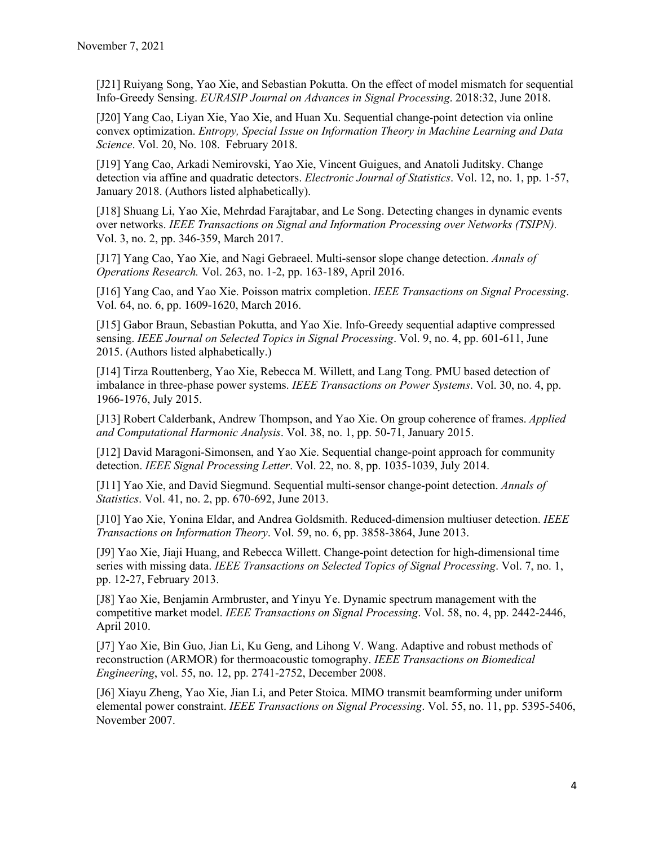[J21] Ruiyang Song, Yao Xie, and Sebastian Pokutta. On the effect of model mismatch for sequential Info-Greedy Sensing. *EURASIP Journal on Advances in Signal Processing*. 2018:32, June 2018.

[J20] Yang Cao, Liyan Xie, Yao Xie, and Huan Xu. Sequential change-point detection via online convex optimization. *Entropy, Special Issue on Information Theory in Machine Learning and Data Science*. Vol. 20, No. 108. February 2018.

[J19] Yang Cao, Arkadi Nemirovski, Yao Xie, Vincent Guigues, and Anatoli Juditsky. Change detection via affine and quadratic detectors. *Electronic Journal of Statistics*. Vol. 12, no. 1, pp. 1-57, January 2018. (Authors listed alphabetically).

[J18] Shuang Li, Yao Xie, Mehrdad Farajtabar, and Le Song. Detecting changes in dynamic events over networks. *IEEE Transactions on Signal and Information Processing over Networks (TSIPN).* Vol. 3, no. 2, pp. 346-359, March 2017.

[J17] Yang Cao, Yao Xie, and Nagi Gebraeel. Multi-sensor slope change detection. *Annals of Operations Research.* Vol. 263, no. 1-2, pp. 163-189, April 2016.

[J16] Yang Cao, and Yao Xie. Poisson matrix completion. *IEEE Transactions on Signal Processing*. Vol. 64, no. 6, pp. 1609-1620, March 2016.

[J15] Gabor Braun, Sebastian Pokutta, and Yao Xie. Info-Greedy sequential adaptive compressed sensing. *IEEE Journal on Selected Topics in Signal Processing*. Vol. 9, no. 4, pp. 601-611, June 2015. (Authors listed alphabetically.)

[J14] Tirza Routtenberg, Yao Xie, Rebecca M. Willett, and Lang Tong. PMU based detection of imbalance in three-phase power systems. *IEEE Transactions on Power Systems*. Vol. 30, no. 4, pp. 1966-1976, July 2015.

[J13] Robert Calderbank, Andrew Thompson, and Yao Xie. On group coherence of frames. *Applied and Computational Harmonic Analysis*. Vol. 38, no. 1, pp. 50-71, January 2015.

[J12] David Maragoni-Simonsen, and Yao Xie. Sequential change-point approach for community detection. *IEEE Signal Processing Letter*. Vol. 22, no. 8, pp. 1035-1039, July 2014.

[J11] Yao Xie, and David Siegmund. Sequential multi-sensor change-point detection. *Annals of Statistics*. Vol. 41, no. 2, pp. 670-692, June 2013.

[J10] Yao Xie, Yonina Eldar, and Andrea Goldsmith. Reduced-dimension multiuser detection. *IEEE Transactions on Information Theory*. Vol. 59, no. 6, pp. 3858-3864, June 2013.

[J9] Yao Xie, Jiaji Huang, and Rebecca Willett. Change-point detection for high-dimensional time series with missing data. *IEEE Transactions on Selected Topics of Signal Processing*. Vol. 7, no. 1, pp. 12-27, February 2013.

[J8] Yao Xie, Benjamin Armbruster, and Yinyu Ye. Dynamic spectrum management with the competitive market model. *IEEE Transactions on Signal Processing*. Vol. 58, no. 4, pp. 2442-2446, April 2010.

[J7] Yao Xie, Bin Guo, Jian Li, Ku Geng, and Lihong V. Wang. Adaptive and robust methods of reconstruction (ARMOR) for thermoacoustic tomography. *IEEE Transactions on Biomedical Engineering*, vol. 55, no. 12, pp. 2741-2752, December 2008.

[J6] Xiayu Zheng, Yao Xie, Jian Li, and Peter Stoica. MIMO transmit beamforming under uniform elemental power constraint. *IEEE Transactions on Signal Processing*. Vol. 55, no. 11, pp. 5395-5406, November 2007.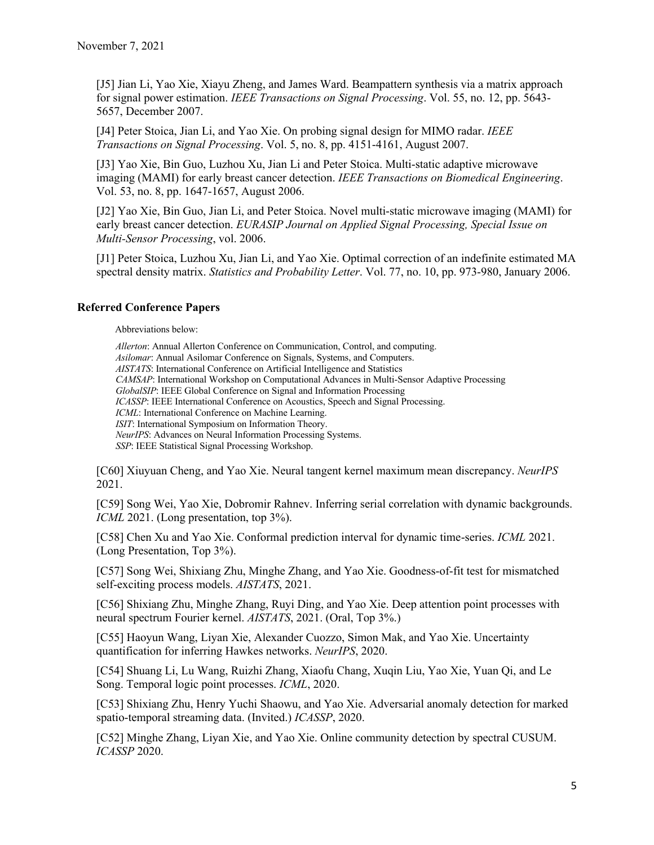[J5] Jian Li, Yao Xie, Xiayu Zheng, and James Ward. Beampattern synthesis via a matrix approach for signal power estimation. *IEEE Transactions on Signal Processing*. Vol. 55, no. 12, pp. 5643- 5657, December 2007.

[J4] Peter Stoica, Jian Li, and Yao Xie. On probing signal design for MIMO radar. *IEEE Transactions on Signal Processing*. Vol. 5, no. 8, pp. 4151-4161, August 2007.

[J3] Yao Xie, Bin Guo, Luzhou Xu, Jian Li and Peter Stoica. Multi-static adaptive microwave imaging (MAMI) for early breast cancer detection. *IEEE Transactions on Biomedical Engineering*. Vol. 53, no. 8, pp. 1647-1657, August 2006.

[J2] Yao Xie, Bin Guo, Jian Li, and Peter Stoica. Novel multi-static microwave imaging (MAMI) for early breast cancer detection. *EURASIP Journal on Applied Signal Processing, Special Issue on Multi-Sensor Processing*, vol. 2006.

[J1] Peter Stoica, Luzhou Xu, Jian Li, and Yao Xie. Optimal correction of an indefinite estimated MA spectral density matrix. *Statistics and Probability Letter*. Vol. 77, no. 10, pp. 973-980, January 2006.

## **Referred Conference Papers**

Abbreviations below:

*Allerton*: Annual Allerton Conference on Communication, Control, and computing. *Asilomar*: Annual Asilomar Conference on Signals, Systems, and Computers. *AISTATS*: International Conference on Artificial Intelligence and Statistics *CAMSAP*: International Workshop on Computational Advances in Multi-Sensor Adaptive Processing *GlobalSIP*: IEEE Global Conference on Signal and Information Processing *ICASSP*: IEEE International Conference on Acoustics, Speech and Signal Processing. *ICML*: International Conference on Machine Learning. *ISIT*: International Symposium on Information Theory. *NeurIPS*: Advances on Neural Information Processing Systems. *SSP*: IEEE Statistical Signal Processing Workshop.

[C60] Xiuyuan Cheng, and Yao Xie. Neural tangent kernel maximum mean discrepancy. *NeurIPS* 2021.

[C59] Song Wei, Yao Xie, Dobromir Rahnev. Inferring serial correlation with dynamic backgrounds. *ICML* 2021. (Long presentation, top 3%).

[C58] Chen Xu and Yao Xie. Conformal prediction interval for dynamic time-series. *ICML* 2021. (Long Presentation, Top 3%).

[C57] Song Wei, Shixiang Zhu, Minghe Zhang, and Yao Xie. Goodness-of-fit test for mismatched self-exciting process models. *AISTATS*, 2021.

[C56] Shixiang Zhu, Minghe Zhang, Ruyi Ding, and Yao Xie. Deep attention point processes with neural spectrum Fourier kernel. *AISTATS*, 2021. (Oral, Top 3%.)

[C55] Haoyun Wang, Liyan Xie, Alexander Cuozzo, Simon Mak, and Yao Xie. Uncertainty quantification for inferring Hawkes networks. *NeurIPS*, 2020.

[C54] Shuang Li, Lu Wang, Ruizhi Zhang, Xiaofu Chang, Xuqin Liu, Yao Xie, Yuan Qi, and Le Song. Temporal logic point processes. *ICML*, 2020.

[C53] Shixiang Zhu, Henry Yuchi Shaowu, and Yao Xie. Adversarial anomaly detection for marked spatio-temporal streaming data. (Invited.) *ICASSP*, 2020.

[C52] Minghe Zhang, Liyan Xie, and Yao Xie. Online community detection by spectral CUSUM. *ICASSP* 2020.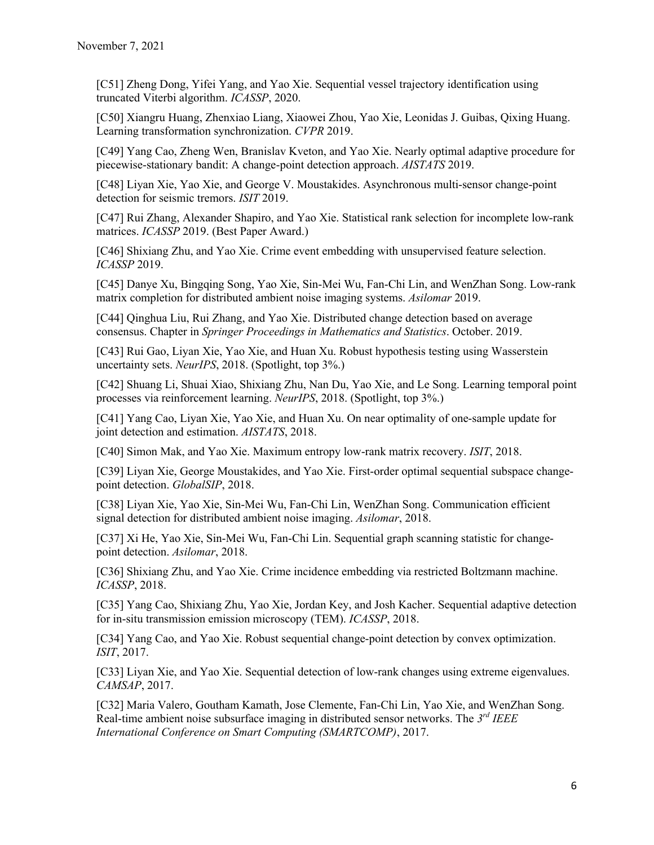[C51] Zheng Dong, Yifei Yang, and Yao Xie. Sequential vessel trajectory identification using truncated Viterbi algorithm. *ICASSP*, 2020.

[C50] Xiangru Huang, Zhenxiao Liang, Xiaowei Zhou, Yao Xie, Leonidas J. Guibas, Qixing Huang. Learning transformation synchronization. *CVPR* 2019.

[C49] Yang Cao, Zheng Wen, Branislav Kveton, and Yao Xie. Nearly optimal adaptive procedure for piecewise-stationary bandit: A change-point detection approach. *AISTATS* 2019.

[C48] Liyan Xie, Yao Xie, and George V. Moustakides. Asynchronous multi-sensor change-point detection for seismic tremors. *ISIT* 2019.

[C47] Rui Zhang, Alexander Shapiro, and Yao Xie. Statistical rank selection for incomplete low-rank matrices. *ICASSP* 2019. (Best Paper Award.)

[C46] Shixiang Zhu, and Yao Xie. Crime event embedding with unsupervised feature selection. *ICASSP* 2019.

[C45] Danye Xu, Bingqing Song, Yao Xie, Sin-Mei Wu, Fan-Chi Lin, and WenZhan Song. Low-rank matrix completion for distributed ambient noise imaging systems. *Asilomar* 2019.

[C44] Qinghua Liu, Rui Zhang, and Yao Xie. Distributed change detection based on average consensus. Chapter in *Springer Proceedings in Mathematics and Statistics*. October. 2019.

[C43] Rui Gao, Liyan Xie, Yao Xie, and Huan Xu. Robust hypothesis testing using Wasserstein uncertainty sets. *NeurIPS*, 2018. (Spotlight, top 3%.)

[C42] Shuang Li, Shuai Xiao, Shixiang Zhu, Nan Du, Yao Xie, and Le Song. Learning temporal point processes via reinforcement learning. *NeurIPS*, 2018. (Spotlight, top 3%.)

[C41] Yang Cao, Liyan Xie, Yao Xie, and Huan Xu. On near optimality of one-sample update for joint detection and estimation. *AISTATS*, 2018.

[C40] Simon Mak, and Yao Xie. Maximum entropy low-rank matrix recovery. *ISIT*, 2018.

[C39] Liyan Xie, George Moustakides, and Yao Xie. First-order optimal sequential subspace changepoint detection. *GlobalSIP*, 2018.

[C38] Liyan Xie, Yao Xie, Sin-Mei Wu, Fan-Chi Lin, WenZhan Song. Communication efficient signal detection for distributed ambient noise imaging. *Asilomar*, 2018.

[C37] Xi He, Yao Xie, Sin-Mei Wu, Fan-Chi Lin. Sequential graph scanning statistic for changepoint detection. *Asilomar*, 2018.

[C36] Shixiang Zhu, and Yao Xie. Crime incidence embedding via restricted Boltzmann machine. *ICASSP*, 2018.

[C35] Yang Cao, Shixiang Zhu, Yao Xie, Jordan Key, and Josh Kacher. Sequential adaptive detection for in-situ transmission emission microscopy (TEM). *ICASSP*, 2018.

[C34] Yang Cao, and Yao Xie. Robust sequential change-point detection by convex optimization. *ISIT*, 2017.

[C33] Liyan Xie, and Yao Xie. Sequential detection of low-rank changes using extreme eigenvalues. *CAMSAP*, 2017.

[C32] Maria Valero, Goutham Kamath, Jose Clemente, Fan-Chi Lin, Yao Xie, and WenZhan Song. Real-time ambient noise subsurface imaging in distributed sensor networks. The *3rd IEEE International Conference on Smart Computing (SMARTCOMP)*, 2017.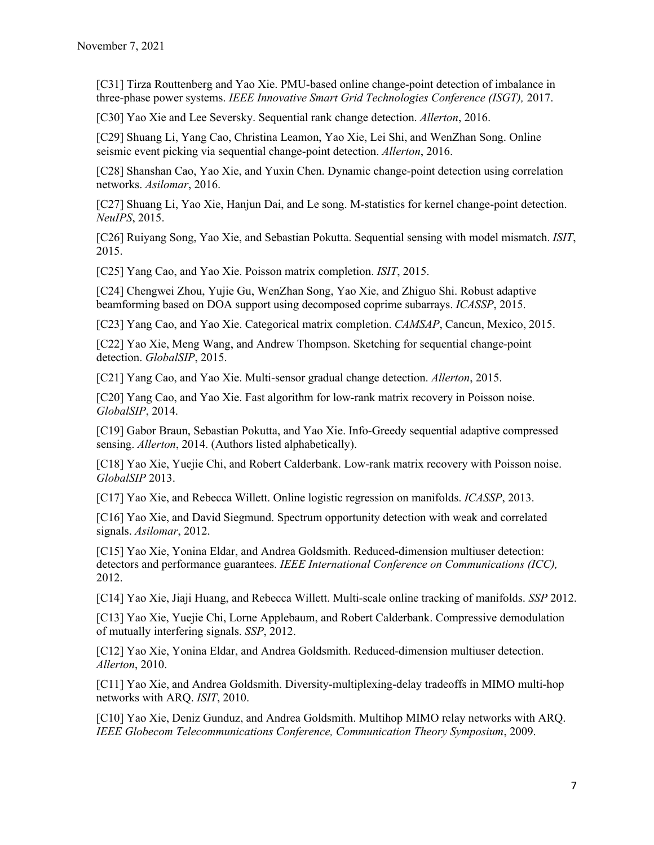[C31] Tirza Routtenberg and Yao Xie. PMU-based online change-point detection of imbalance in three-phase power systems. *IEEE Innovative Smart Grid Technologies Conference (ISGT),* 2017.

[C30] Yao Xie and Lee Seversky. Sequential rank change detection. *Allerton*, 2016.

[C29] Shuang Li, Yang Cao, Christina Leamon, Yao Xie, Lei Shi, and WenZhan Song. Online seismic event picking via sequential change-point detection. *Allerton*, 2016.

[C28] Shanshan Cao, Yao Xie, and Yuxin Chen. Dynamic change-point detection using correlation networks. *Asilomar*, 2016.

[C27] Shuang Li, Yao Xie, Hanjun Dai, and Le song. M-statistics for kernel change-point detection. *NeuIPS*, 2015.

[C26] Ruiyang Song, Yao Xie, and Sebastian Pokutta. Sequential sensing with model mismatch. *ISIT*, 2015.

[C25] Yang Cao, and Yao Xie. Poisson matrix completion. *ISIT*, 2015.

[C24] Chengwei Zhou, Yujie Gu, WenZhan Song, Yao Xie, and Zhiguo Shi. Robust adaptive beamforming based on DOA support using decomposed coprime subarrays. *ICASSP*, 2015.

[C23] Yang Cao, and Yao Xie. Categorical matrix completion. *CAMSAP*, Cancun, Mexico, 2015.

[C22] Yao Xie, Meng Wang, and Andrew Thompson. Sketching for sequential change-point detection. *GlobalSIP*, 2015.

[C21] Yang Cao, and Yao Xie. Multi-sensor gradual change detection. *Allerton*, 2015.

[C20] Yang Cao, and Yao Xie. Fast algorithm for low-rank matrix recovery in Poisson noise. *GlobalSIP*, 2014.

[C19] Gabor Braun, Sebastian Pokutta, and Yao Xie. Info-Greedy sequential adaptive compressed sensing. *Allerton*, 2014. (Authors listed alphabetically).

[C18] Yao Xie, Yuejie Chi, and Robert Calderbank. Low-rank matrix recovery with Poisson noise. *GlobalSIP* 2013.

[C17] Yao Xie, and Rebecca Willett. Online logistic regression on manifolds. *ICASSP*, 2013.

[C16] Yao Xie, and David Siegmund. Spectrum opportunity detection with weak and correlated signals. *Asilomar*, 2012.

[C15] Yao Xie, Yonina Eldar, and Andrea Goldsmith. Reduced-dimension multiuser detection: detectors and performance guarantees. *IEEE International Conference on Communications (ICC),* 2012.

[C14] Yao Xie, Jiaji Huang, and Rebecca Willett. Multi-scale online tracking of manifolds. *SSP* 2012.

[C13] Yao Xie, Yuejie Chi, Lorne Applebaum, and Robert Calderbank. Compressive demodulation of mutually interfering signals. *SSP*, 2012.

[C12] Yao Xie, Yonina Eldar, and Andrea Goldsmith. Reduced-dimension multiuser detection. *Allerton*, 2010.

[C11] Yao Xie, and Andrea Goldsmith. Diversity-multiplexing-delay tradeoffs in MIMO multi-hop networks with ARQ. *ISIT*, 2010.

[C10] Yao Xie, Deniz Gunduz, and Andrea Goldsmith. Multihop MIMO relay networks with ARQ. *IEEE Globecom Telecommunications Conference, Communication Theory Symposium*, 2009.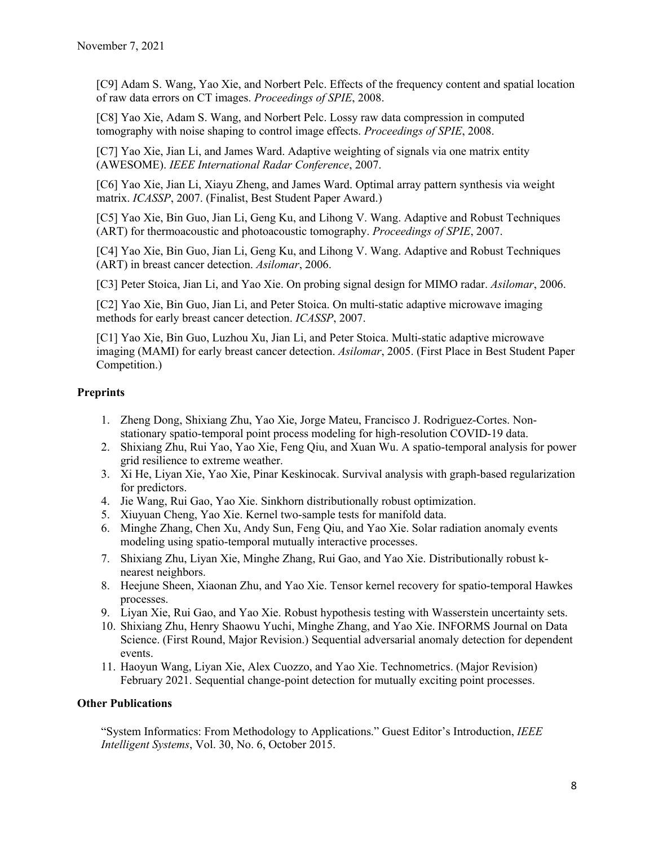[C9] Adam S. Wang, Yao Xie, and Norbert Pelc. Effects of the frequency content and spatial location of raw data errors on CT images. *Proceedings of SPIE*, 2008.

[C8] Yao Xie, Adam S. Wang, and Norbert Pelc. Lossy raw data compression in computed tomography with noise shaping to control image effects. *Proceedings of SPIE*, 2008.

[C7] Yao Xie, Jian Li, and James Ward. Adaptive weighting of signals via one matrix entity (AWESOME). *IEEE International Radar Conference*, 2007.

[C6] Yao Xie, Jian Li, Xiayu Zheng, and James Ward. Optimal array pattern synthesis via weight matrix. *ICASSP*, 2007. (Finalist, Best Student Paper Award.)

[C5] Yao Xie, Bin Guo, Jian Li, Geng Ku, and Lihong V. Wang. Adaptive and Robust Techniques (ART) for thermoacoustic and photoacoustic tomography. *Proceedings of SPIE*, 2007.

[C4] Yao Xie, Bin Guo, Jian Li, Geng Ku, and Lihong V. Wang. Adaptive and Robust Techniques (ART) in breast cancer detection. *Asilomar*, 2006.

[C3] Peter Stoica, Jian Li, and Yao Xie. On probing signal design for MIMO radar. *Asilomar*, 2006.

[C2] Yao Xie, Bin Guo, Jian Li, and Peter Stoica. On multi-static adaptive microwave imaging methods for early breast cancer detection. *ICASSP*, 2007.

[C1] Yao Xie, Bin Guo, Luzhou Xu, Jian Li, and Peter Stoica. Multi-static adaptive microwave imaging (MAMI) for early breast cancer detection. *Asilomar*, 2005. (First Place in Best Student Paper Competition.)

## **Preprints**

- 1. Zheng Dong, Shixiang Zhu, Yao Xie, Jorge Mateu, Francisco J. Rodriguez-Cortes. Nonstationary spatio-temporal point process modeling for high-resolution COVID-19 data.
- 2. Shixiang Zhu, Rui Yao, Yao Xie, Feng Qiu, and Xuan Wu. A spatio-temporal analysis for power grid resilience to extreme weather.
- 3. Xi He, Liyan Xie, Yao Xie, Pinar Keskinocak. Survival analysis with graph-based regularization for predictors.
- 4. Jie Wang, Rui Gao, Yao Xie. Sinkhorn distributionally robust optimization.
- 5. Xiuyuan Cheng, Yao Xie. Kernel two-sample tests for manifold data.
- 6. Minghe Zhang, Chen Xu, Andy Sun, Feng Qiu, and Yao Xie. Solar radiation anomaly events modeling using spatio-temporal mutually interactive processes.
- 7. Shixiang Zhu, Liyan Xie, Minghe Zhang, Rui Gao, and Yao Xie. Distributionally robust knearest neighbors.
- 8. Heejune Sheen, Xiaonan Zhu, and Yao Xie. Tensor kernel recovery for spatio-temporal Hawkes processes.
- 9. Liyan Xie, Rui Gao, and Yao Xie. Robust hypothesis testing with Wasserstein uncertainty sets.
- 10. Shixiang Zhu, Henry Shaowu Yuchi, Minghe Zhang, and Yao Xie. INFORMS Journal on Data Science. (First Round, Major Revision.) Sequential adversarial anomaly detection for dependent events.
- 11. Haoyun Wang, Liyan Xie, Alex Cuozzo, and Yao Xie. Technometrics. (Major Revision) February 2021. Sequential change-point detection for mutually exciting point processes.

#### **Other Publications**

"System Informatics: From Methodology to Applications." Guest Editor's Introduction, *IEEE Intelligent Systems*, Vol. 30, No. 6, October 2015.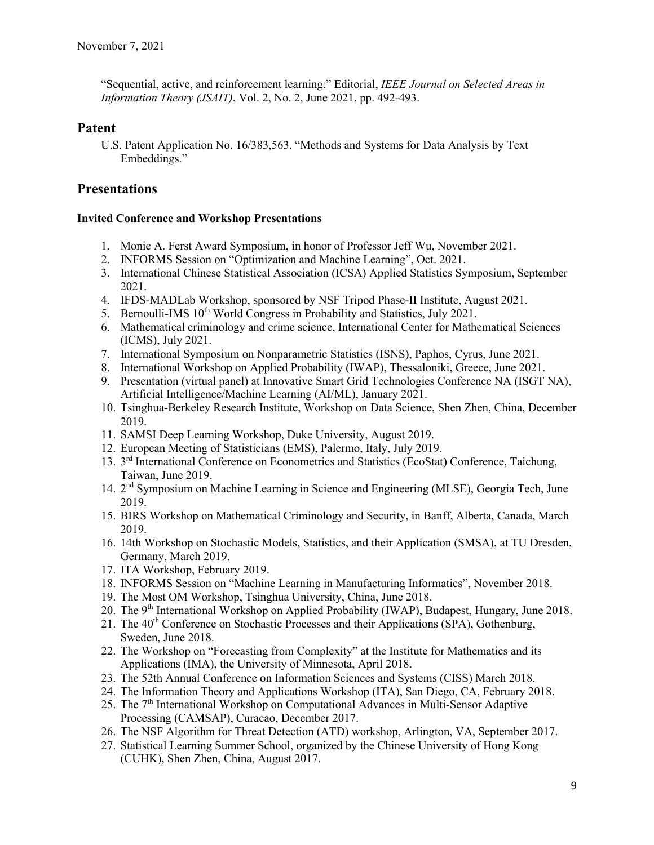"Sequential, active, and reinforcement learning." Editorial, *IEEE Journal on Selected Areas in Information Theory (JSAIT)*, Vol. 2, No. 2, June 2021, pp. 492-493.

# **Patent**

U.S. Patent Application No. 16/383,563. "Methods and Systems for Data Analysis by Text Embeddings."

# **Presentations**

#### **Invited Conference and Workshop Presentations**

- 1. Monie A. Ferst Award Symposium, in honor of Professor Jeff Wu, November 2021.
- 2. INFORMS Session on "Optimization and Machine Learning", Oct. 2021.
- 3. International Chinese Statistical Association (ICSA) Applied Statistics Symposium, September 2021.
- 4. IFDS-MADLab Workshop, sponsored by NSF Tripod Phase-II Institute, August 2021.
- 5. Bernoulli-IMS  $10<sup>th</sup>$  World Congress in Probability and Statistics, July 2021.
- 6. Mathematical criminology and crime science, International Center for Mathematical Sciences (ICMS), July 2021.
- 7. International Symposium on Nonparametric Statistics (ISNS), Paphos, Cyrus, June 2021.
- 8. International Workshop on Applied Probability (IWAP), Thessaloniki, Greece, June 2021.
- 9. Presentation (virtual panel) at Innovative Smart Grid Technologies Conference NA (ISGT NA), Artificial Intelligence/Machine Learning (AI/ML), January 2021.
- 10. Tsinghua-Berkeley Research Institute, Workshop on Data Science, Shen Zhen, China, December 2019.
- 11. SAMSI Deep Learning Workshop, Duke University, August 2019.
- 12. European Meeting of Statisticians (EMS), Palermo, Italy, July 2019.
- 13. 3rd International Conference on Econometrics and Statistics (EcoStat) Conference, Taichung, Taiwan, June 2019.
- 14. 2nd Symposium on Machine Learning in Science and Engineering (MLSE), Georgia Tech, June 2019.
- 15. BIRS Workshop on Mathematical Criminology and Security, in Banff, Alberta, Canada, March 2019.
- 16. 14th Workshop on Stochastic Models, Statistics, and their Application (SMSA), at TU Dresden, Germany, March 2019.
- 17. ITA Workshop, February 2019.
- 18. INFORMS Session on "Machine Learning in Manufacturing Informatics", November 2018.
- 19. The Most OM Workshop, Tsinghua University, China, June 2018.
- 20. The 9<sup>th</sup> International Workshop on Applied Probability (IWAP), Budapest, Hungary, June 2018.
- 21. The  $40<sup>th</sup>$  Conference on Stochastic Processes and their Applications (SPA), Gothenburg, Sweden, June 2018.
- 22. The Workshop on "Forecasting from Complexity" at the Institute for Mathematics and its Applications (IMA), the University of Minnesota, April 2018.
- 23. The 52th Annual Conference on Information Sciences and Systems (CISS) March 2018.
- 24. The Information Theory and Applications Workshop (ITA), San Diego, CA, February 2018.
- 25. The  $7<sup>th</sup>$  International Workshop on Computational Advances in Multi-Sensor Adaptive Processing (CAMSAP), Curacao, December 2017.
- 26. The NSF Algorithm for Threat Detection (ATD) workshop, Arlington, VA, September 2017.
- 27. Statistical Learning Summer School, organized by the Chinese University of Hong Kong (CUHK), Shen Zhen, China, August 2017.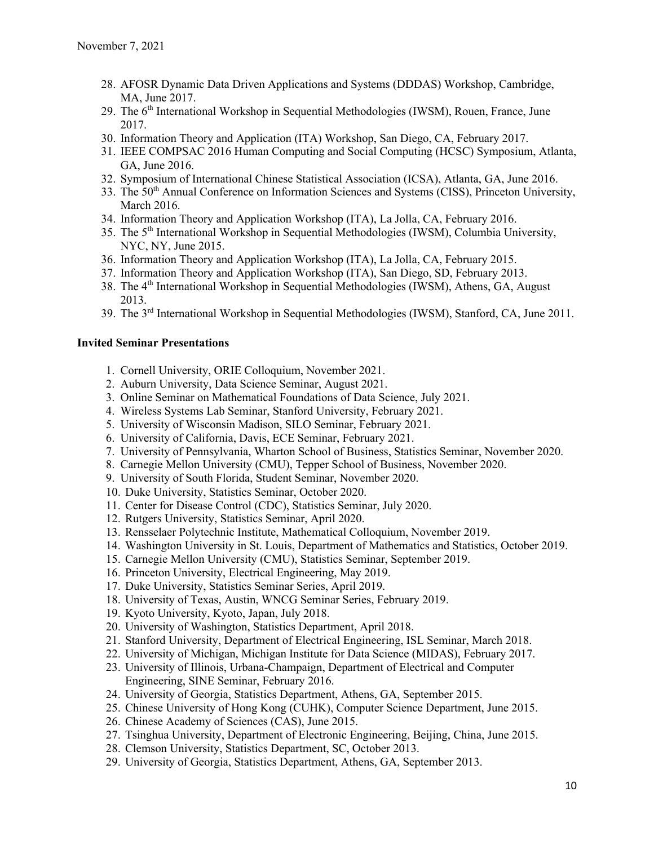- 28. AFOSR Dynamic Data Driven Applications and Systems (DDDAS) Workshop, Cambridge, MA, June 2017.
- 29. The 6<sup>th</sup> International Workshop in Sequential Methodologies (IWSM), Rouen, France, June 2017.
- 30. Information Theory and Application (ITA) Workshop, San Diego, CA, February 2017.
- 31. IEEE COMPSAC 2016 Human Computing and Social Computing (HCSC) Symposium, Atlanta, GA, June 2016.
- 32. Symposium of International Chinese Statistical Association (ICSA), Atlanta, GA, June 2016.
- 33. The  $50<sup>th</sup>$  Annual Conference on Information Sciences and Systems (CISS), Princeton University, March 2016.
- 34. Information Theory and Application Workshop (ITA), La Jolla, CA, February 2016.
- 35. The 5<sup>th</sup> International Workshop in Sequential Methodologies (IWSM), Columbia University, NYC, NY, June 2015.
- 36. Information Theory and Application Workshop (ITA), La Jolla, CA, February 2015.
- 37. Information Theory and Application Workshop (ITA), San Diego, SD, February 2013.
- 38. The 4th International Workshop in Sequential Methodologies (IWSM), Athens, GA, August 2013.
- 39. The 3rd International Workshop in Sequential Methodologies (IWSM), Stanford, CA, June 2011.

#### **Invited Seminar Presentations**

- 1. Cornell University, ORIE Colloquium, November 2021.
- 2. Auburn University, Data Science Seminar, August 2021.
- 3. Online Seminar on Mathematical Foundations of Data Science, July 2021.
- 4. Wireless Systems Lab Seminar, Stanford University, February 2021.
- 5. University of Wisconsin Madison, SILO Seminar, February 2021.
- 6. University of California, Davis, ECE Seminar, February 2021.
- 7. University of Pennsylvania, Wharton School of Business, Statistics Seminar, November 2020.
- 8. Carnegie Mellon University (CMU), Tepper School of Business, November 2020.
- 9. University of South Florida, Student Seminar, November 2020.
- 10. Duke University, Statistics Seminar, October 2020.
- 11. Center for Disease Control (CDC), Statistics Seminar, July 2020.
- 12. Rutgers University, Statistics Seminar, April 2020.
- 13. Rensselaer Polytechnic Institute, Mathematical Colloquium, November 2019.
- 14. Washington University in St. Louis, Department of Mathematics and Statistics, October 2019.
- 15. Carnegie Mellon University (CMU), Statistics Seminar, September 2019.
- 16. Princeton University, Electrical Engineering, May 2019.
- 17. Duke University, Statistics Seminar Series, April 2019.
- 18. University of Texas, Austin, WNCG Seminar Series, February 2019.
- 19. Kyoto University, Kyoto, Japan, July 2018.
- 20. University of Washington, Statistics Department, April 2018.
- 21. Stanford University, Department of Electrical Engineering, ISL Seminar, March 2018.
- 22. University of Michigan, Michigan Institute for Data Science (MIDAS), February 2017.
- 23. University of Illinois, Urbana-Champaign, Department of Electrical and Computer Engineering, SINE Seminar, February 2016.
- 24. University of Georgia, Statistics Department, Athens, GA, September 2015.
- 25. Chinese University of Hong Kong (CUHK), Computer Science Department, June 2015.
- 26. Chinese Academy of Sciences (CAS), June 2015.
- 27. Tsinghua University, Department of Electronic Engineering, Beijing, China, June 2015.
- 28. Clemson University, Statistics Department, SC, October 2013.
- 29. University of Georgia, Statistics Department, Athens, GA, September 2013.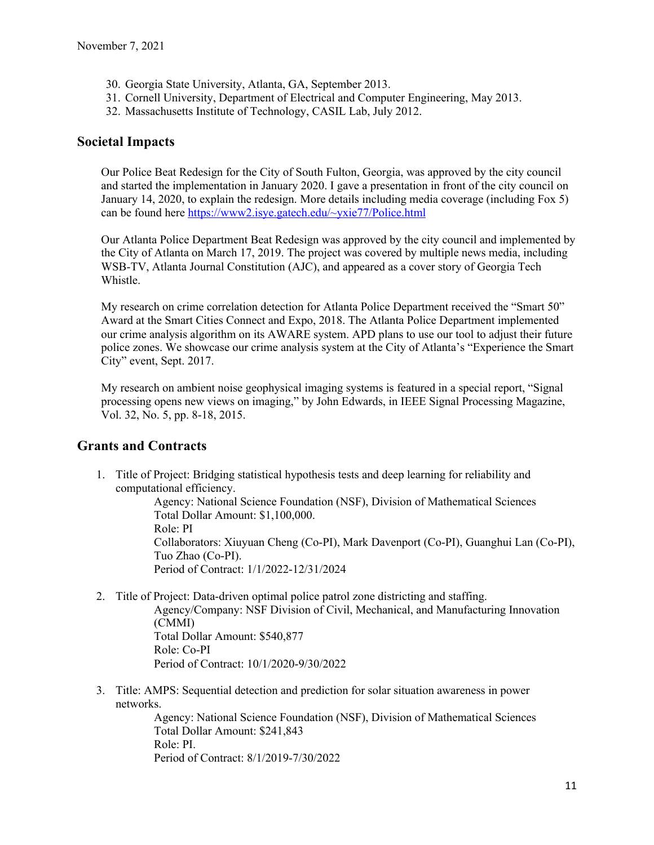- 30. Georgia State University, Atlanta, GA, September 2013.
- 31. Cornell University, Department of Electrical and Computer Engineering, May 2013.
- 32. Massachusetts Institute of Technology, CASIL Lab, July 2012.

## **Societal Impacts**

Our Police Beat Redesign for the City of South Fulton, Georgia, was approved by the city council and started the implementation in January 2020. I gave a presentation in front of the city council on January 14, 2020, to explain the redesign. More details including media coverage (including Fox 5) can be found here https://www2.isye.gatech.edu/~yxie77/Police.html

Our Atlanta Police Department Beat Redesign was approved by the city council and implemented by the City of Atlanta on March 17, 2019. The project was covered by multiple news media, including WSB-TV, Atlanta Journal Constitution (AJC), and appeared as a cover story of Georgia Tech Whistle.

My research on crime correlation detection for Atlanta Police Department received the "Smart 50" Award at the Smart Cities Connect and Expo, 2018. The Atlanta Police Department implemented our crime analysis algorithm on its AWARE system. APD plans to use our tool to adjust their future police zones. We showcase our crime analysis system at the City of Atlanta's "Experience the Smart City" event, Sept. 2017.

My research on ambient noise geophysical imaging systems is featured in a special report, "Signal processing opens new views on imaging," by John Edwards, in IEEE Signal Processing Magazine, Vol. 32, No. 5, pp. 8-18, 2015.

# **Grants and Contracts**

1. Title of Project: Bridging statistical hypothesis tests and deep learning for reliability and computational efficiency.

> Agency: National Science Foundation (NSF), Division of Mathematical Sciences Total Dollar Amount: \$1,100,000. Role: PI Collaborators: Xiuyuan Cheng (Co-PI), Mark Davenport (Co-PI), Guanghui Lan (Co-PI), Tuo Zhao (Co-PI). Period of Contract: 1/1/2022-12/31/2024

- 2. Title of Project: Data-driven optimal police patrol zone districting and staffing. Agency/Company: NSF Division of Civil, Mechanical, and Manufacturing Innovation (CMMI) Total Dollar Amount: \$540,877 Role: Co-PI Period of Contract: 10/1/2020-9/30/2022
- 3. Title: AMPS: Sequential detection and prediction for solar situation awareness in power networks.

Agency: National Science Foundation (NSF), Division of Mathematical Sciences Total Dollar Amount: \$241,843 Role: PI. Period of Contract: 8/1/2019-7/30/2022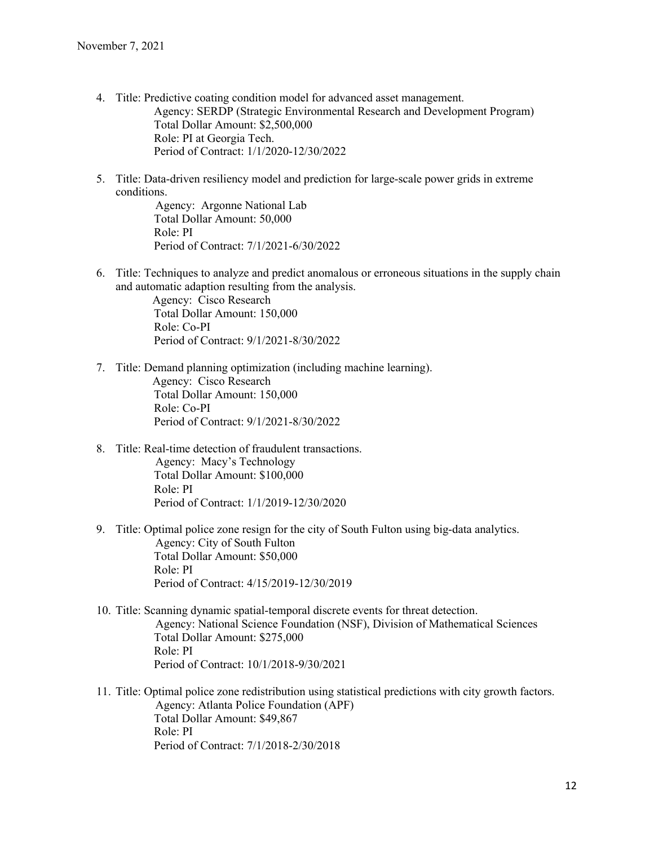- 4. Title: Predictive coating condition model for advanced asset management. Agency: SERDP (Strategic Environmental Research and Development Program) Total Dollar Amount: \$2,500,000 Role: PI at Georgia Tech. Period of Contract: 1/1/2020-12/30/2022
- 5. Title: Data-driven resiliency model and prediction for large-scale power grids in extreme conditions.

 Agency: Argonne National Lab Total Dollar Amount: 50,000 Role: PI Period of Contract: 7/1/2021-6/30/2022

6. Title: Techniques to analyze and predict anomalous or erroneous situations in the supply chain and automatic adaption resulting from the analysis.

> Agency: Cisco Research Total Dollar Amount: 150,000 Role: Co-PI Period of Contract: 9/1/2021-8/30/2022

- 7. Title: Demand planning optimization (including machine learning). Agency: Cisco Research Total Dollar Amount: 150,000 Role: Co-PI Period of Contract: 9/1/2021-8/30/2022
- 8. Title: Real-time detection of fraudulent transactions. Agency: Macy's Technology Total Dollar Amount: \$100,000 Role: PI Period of Contract: 1/1/2019-12/30/2020
- 9. Title: Optimal police zone resign for the city of South Fulton using big-data analytics. Agency: City of South Fulton Total Dollar Amount: \$50,000 Role: PI Period of Contract: 4/15/2019-12/30/2019
- 10. Title: Scanning dynamic spatial-temporal discrete events for threat detection. Agency: National Science Foundation (NSF), Division of Mathematical Sciences Total Dollar Amount: \$275,000 Role: PI Period of Contract: 10/1/2018-9/30/2021
- 11. Title: Optimal police zone redistribution using statistical predictions with city growth factors. Agency: Atlanta Police Foundation (APF) Total Dollar Amount: \$49,867 Role: PI Period of Contract: 7/1/2018-2/30/2018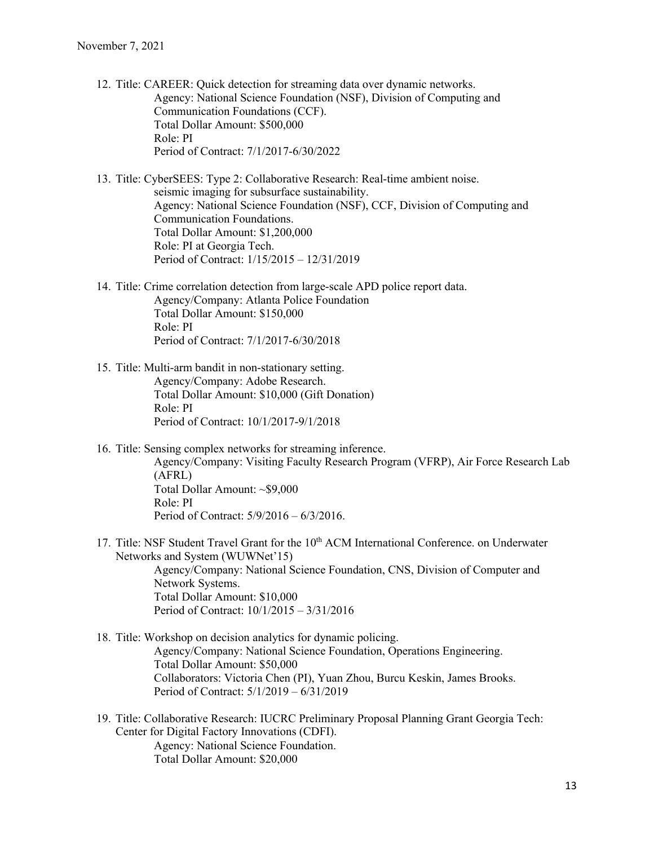12. Title: CAREER: Quick detection for streaming data over dynamic networks. Agency: National Science Foundation (NSF), Division of Computing and Communication Foundations (CCF). Total Dollar Amount: \$500,000 Role: PI Period of Contract: 7/1/2017-6/30/2022

13. Title: CyberSEES: Type 2: Collaborative Research: Real-time ambient noise. seismic imaging for subsurface sustainability. Agency: National Science Foundation (NSF), CCF, Division of Computing and Communication Foundations. Total Dollar Amount: \$1,200,000 Role: PI at Georgia Tech. Period of Contract: 1/15/2015 – 12/31/2019

- 14. Title: Crime correlation detection from large-scale APD police report data. Agency/Company: Atlanta Police Foundation Total Dollar Amount: \$150,000 Role: PI Period of Contract: 7/1/2017-6/30/2018
- 15. Title: Multi-arm bandit in non-stationary setting. Agency/Company: Adobe Research. Total Dollar Amount: \$10,000 (Gift Donation) Role: PI Period of Contract: 10/1/2017-9/1/2018
- 16. Title: Sensing complex networks for streaming inference. Agency/Company: Visiting Faculty Research Program (VFRP), Air Force Research Lab (AFRL) Total Dollar Amount: ~\$9,000 Role: PI Period of Contract: 5/9/2016 – 6/3/2016.
- 17. Title: NSF Student Travel Grant for the 10<sup>th</sup> ACM International Conference. on Underwater Networks and System (WUWNet'15) Agency/Company: National Science Foundation, CNS, Division of Computer and Network Systems. Total Dollar Amount: \$10,000 Period of Contract: 10/1/2015 – 3/31/2016
- 18. Title: Workshop on decision analytics for dynamic policing. Agency/Company: National Science Foundation, Operations Engineering. Total Dollar Amount: \$50,000 Collaborators: Victoria Chen (PI), Yuan Zhou, Burcu Keskin, James Brooks. Period of Contract: 5/1/2019 – 6/31/2019
- 19. Title: Collaborative Research: IUCRC Preliminary Proposal Planning Grant Georgia Tech: Center for Digital Factory Innovations (CDFI). Agency: National Science Foundation. Total Dollar Amount: \$20,000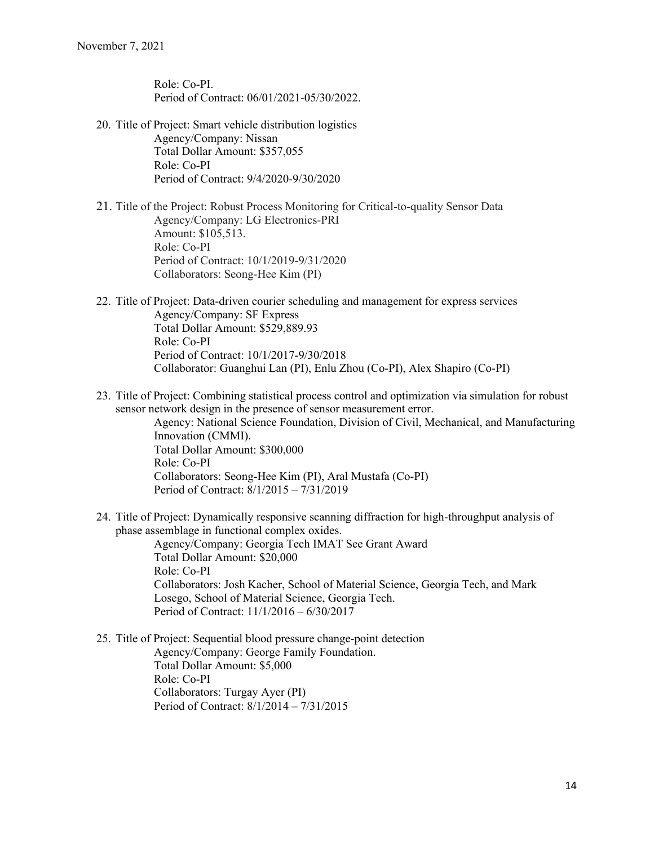Role: Co-PI. Period of Contract: 06/01/2021-05/30/2022.

20. Title of Project: Smart vehicle distribution logistics Agency/Company: Nissan Total Dollar Amount: \$357,055 Role: Co-PI Period of Contract: 9/4/2020-9/30/2020

21. Title of the Project: Robust Process Monitoring for Critical-to-quality Sensor Data Agency/Company: LG Electronics-PRI Amount: \$105,513. Role: Co-PI Period of Contract: 10/1/2019-9/31/2020 Collaborators: Seong-Hee Kim (PI)

- 22. Title of Project: Data-driven courier scheduling and management for express services Agency/Company: SF Express Total Dollar Amount: \$529,889.93 Role: Co-PI Period of Contract: 10/1/2017-9/30/2018 Collaborator: Guanghui Lan (PI), Enlu Zhou (Co-PI), Alex Shapiro (Co-PI)
- 23. Title of Project: Combining statistical process control and optimization via simulation for robust sensor network design in the presence of sensor measurement error.

Agency: National Science Foundation, Division of Civil, Mechanical, and Manufacturing Innovation (CMMI). Total Dollar Amount: \$300,000 Role: Co-PI Collaborators: Seong-Hee Kim (PI), Aral Mustafa (Co-PI) Period of Contract: 8/1/2015 – 7/31/2019

24. Title of Project: Dynamically responsive scanning diffraction for high-throughput analysis of phase assemblage in functional complex oxides.

Agency/Company: Georgia Tech IMAT See Grant Award Total Dollar Amount: \$20,000 Role: Co-PI Collaborators: Josh Kacher, School of Material Science, Georgia Tech, and Mark Losego, School of Material Science, Georgia Tech. Period of Contract: 11/1/2016 – 6/30/2017

25. Title of Project: Sequential blood pressure change-point detection Agency/Company: George Family Foundation. Total Dollar Amount: \$5,000 Role: Co-PI Collaborators: Turgay Ayer (PI) Period of Contract: 8/1/2014 – 7/31/2015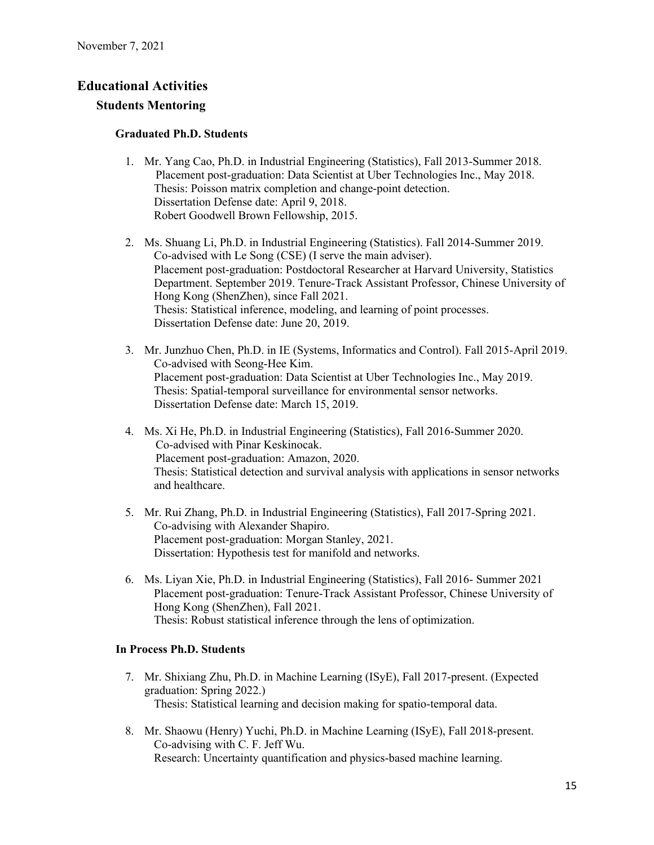# **Educational Activities**

## **Students Mentoring**

#### **Graduated Ph.D. Students**

- 1. Mr. Yang Cao, Ph.D. in Industrial Engineering (Statistics), Fall 2013-Summer 2018. Placement post-graduation: Data Scientist at Uber Technologies Inc., May 2018. Thesis: Poisson matrix completion and change-point detection. Dissertation Defense date: April 9, 2018. Robert Goodwell Brown Fellowship, 2015.
- 2. Ms. Shuang Li, Ph.D. in Industrial Engineering (Statistics). Fall 2014-Summer 2019. Co-advised with Le Song (CSE) (I serve the main adviser). Placement post-graduation: Postdoctoral Researcher at Harvard University, Statistics Department. September 2019. Tenure-Track Assistant Professor, Chinese University of Hong Kong (ShenZhen), since Fall 2021. Thesis: Statistical inference, modeling, and learning of point processes. Dissertation Defense date: June 20, 2019.
- 3. Mr. Junzhuo Chen, Ph.D. in IE (Systems, Informatics and Control). Fall 2015-April 2019. Co-advised with Seong-Hee Kim. Placement post-graduation: Data Scientist at Uber Technologies Inc., May 2019. Thesis: Spatial-temporal surveillance for environmental sensor networks. Dissertation Defense date: March 15, 2019.
- 4. Ms. Xi He, Ph.D. in Industrial Engineering (Statistics), Fall 2016-Summer 2020. Co-advised with Pinar Keskinocak. Placement post-graduation: Amazon, 2020. Thesis: Statistical detection and survival analysis with applications in sensor networks and healthcare.
- 5. Mr. Rui Zhang, Ph.D. in Industrial Engineering (Statistics), Fall 2017-Spring 2021. Co-advising with Alexander Shapiro. Placement post-graduation: Morgan Stanley, 2021. Dissertation: Hypothesis test for manifold and networks.
- 6. Ms. Liyan Xie, Ph.D. in Industrial Engineering (Statistics), Fall 2016- Summer 2021 Placement post-graduation: Tenure-Track Assistant Professor, Chinese University of Hong Kong (ShenZhen), Fall 2021. Thesis: Robust statistical inference through the lens of optimization.

#### **In Process Ph.D. Students**

- 7. Mr. Shixiang Zhu, Ph.D. in Machine Learning (ISyE), Fall 2017-present. (Expected graduation: Spring 2022.) Thesis: Statistical learning and decision making for spatio-temporal data.
- 8. Mr. Shaowu (Henry) Yuchi, Ph.D. in Machine Learning (ISyE), Fall 2018-present. Co-advising with C. F. Jeff Wu. Research: Uncertainty quantification and physics-based machine learning.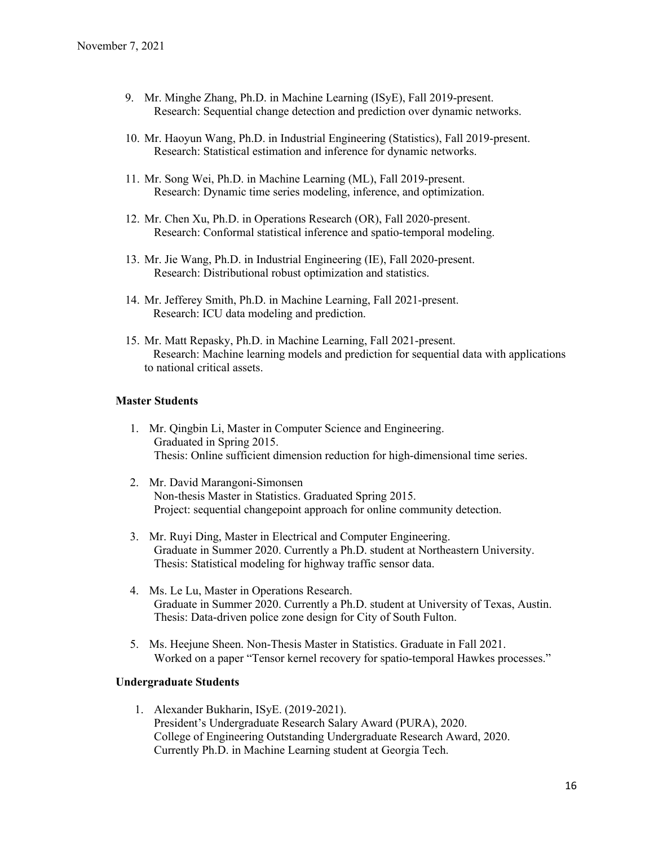- 9. Mr. Minghe Zhang, Ph.D. in Machine Learning (ISyE), Fall 2019-present. Research: Sequential change detection and prediction over dynamic networks.
- 10. Mr. Haoyun Wang, Ph.D. in Industrial Engineering (Statistics), Fall 2019-present. Research: Statistical estimation and inference for dynamic networks.
- 11. Mr. Song Wei, Ph.D. in Machine Learning (ML), Fall 2019-present. Research: Dynamic time series modeling, inference, and optimization.
- 12. Mr. Chen Xu, Ph.D. in Operations Research (OR), Fall 2020-present. Research: Conformal statistical inference and spatio-temporal modeling.
- 13. Mr. Jie Wang, Ph.D. in Industrial Engineering (IE), Fall 2020-present. Research: Distributional robust optimization and statistics.
- 14. Mr. Jefferey Smith, Ph.D. in Machine Learning, Fall 2021-present. Research: ICU data modeling and prediction.
- 15. Mr. Matt Repasky, Ph.D. in Machine Learning, Fall 2021-present. Research: Machine learning models and prediction for sequential data with applications to national critical assets.

#### **Master Students**

- 1. Mr. Qingbin Li, Master in Computer Science and Engineering. Graduated in Spring 2015. Thesis: Online sufficient dimension reduction for high-dimensional time series.
- 2. Mr. David Marangoni-Simonsen Non-thesis Master in Statistics. Graduated Spring 2015. Project: sequential changepoint approach for online community detection.
- 3. Mr. Ruyi Ding, Master in Electrical and Computer Engineering. Graduate in Summer 2020. Currently a Ph.D. student at Northeastern University. Thesis: Statistical modeling for highway traffic sensor data.
- 4. Ms. Le Lu, Master in Operations Research. Graduate in Summer 2020. Currently a Ph.D. student at University of Texas, Austin. Thesis: Data-driven police zone design for City of South Fulton.
- 5. Ms. Heejune Sheen. Non-Thesis Master in Statistics. Graduate in Fall 2021. Worked on a paper "Tensor kernel recovery for spatio-temporal Hawkes processes."

#### **Undergraduate Students**

1. Alexander Bukharin, ISyE. (2019-2021). President's Undergraduate Research Salary Award (PURA), 2020. College of Engineering Outstanding Undergraduate Research Award, 2020. Currently Ph.D. in Machine Learning student at Georgia Tech.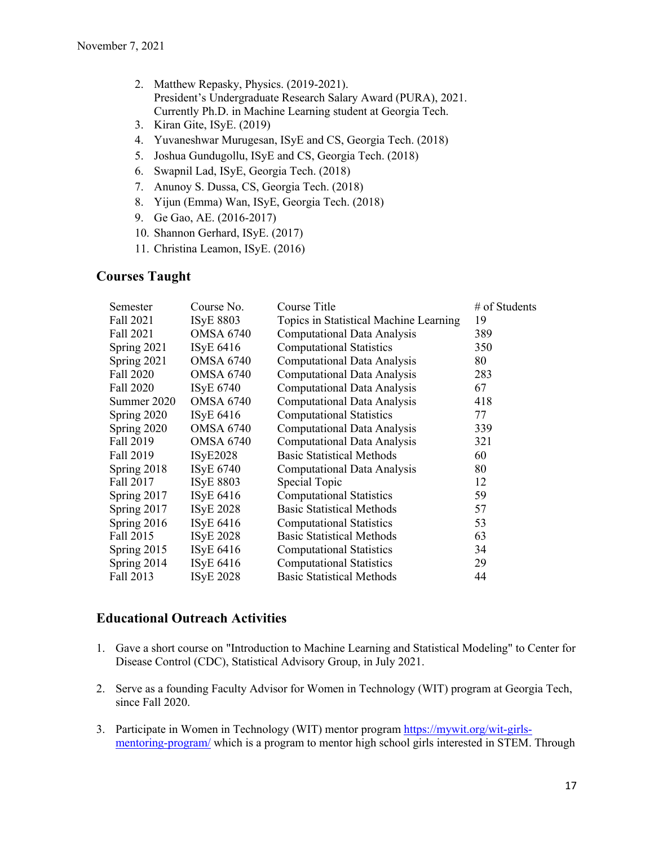- 2. Matthew Repasky, Physics. (2019-2021). President's Undergraduate Research Salary Award (PURA), 2021. Currently Ph.D. in Machine Learning student at Georgia Tech.
- 3. Kiran Gite, ISyE. (2019)
- 4. Yuvaneshwar Murugesan, ISyE and CS, Georgia Tech. (2018)
- 5. Joshua Gundugollu, ISyE and CS, Georgia Tech. (2018)
- 6. Swapnil Lad, ISyE, Georgia Tech. (2018)
- 7. Anunoy S. Dussa, CS, Georgia Tech. (2018)
- 8. Yijun (Emma) Wan, ISyE, Georgia Tech. (2018)
- 9. Ge Gao, AE. (2016-2017)
- 10. Shannon Gerhard, ISyE. (2017)
- 11. Christina Leamon, ISyE. (2016)

# **Courses Taught**

| Semester      | Course No.       | Course Title                           | # of Students |
|---------------|------------------|----------------------------------------|---------------|
| Fall 2021     | <b>ISyE 8803</b> | Topics in Statistical Machine Learning | 19            |
| Fall 2021     | <b>OMSA 6740</b> | <b>Computational Data Analysis</b>     | 389           |
| Spring 2021   | ISyE 6416        | <b>Computational Statistics</b>        | 350           |
| Spring 2021   | <b>OMSA 6740</b> | <b>Computational Data Analysis</b>     | 80            |
| Fall 2020     | OMSA 6740        | <b>Computational Data Analysis</b>     | 283           |
| Fall 2020     | <b>ISyE 6740</b> | <b>Computational Data Analysis</b>     | 67            |
| Summer 2020   | OMSA 6740        | <b>Computational Data Analysis</b>     | 418           |
| Spring 2020   | ISyE 6416        | <b>Computational Statistics</b>        | 77            |
| Spring 2020   | <b>OMSA 6740</b> | <b>Computational Data Analysis</b>     | 339           |
| Fall 2019     | OMSA 6740        | <b>Computational Data Analysis</b>     | 321           |
| Fall 2019     | <b>ISyE2028</b>  | <b>Basic Statistical Methods</b>       | 60            |
| Spring 2018   | ISyE 6740        | Computational Data Analysis            | 80            |
| Fall 2017     | <b>ISyE 8803</b> | Special Topic                          | 12            |
| Spring 2017   | ISyE 6416        | <b>Computational Statistics</b>        | 59            |
| Spring 2017   | <b>ISyE 2028</b> | <b>Basic Statistical Methods</b>       | 57            |
| Spring 2016   | ISyE 6416        | <b>Computational Statistics</b>        | 53            |
| Fall 2015     | <b>ISyE 2028</b> | <b>Basic Statistical Methods</b>       | 63            |
| Spring $2015$ | ISyE 6416        | <b>Computational Statistics</b>        | 34            |
| Spring 2014   | ISyE 6416        | <b>Computational Statistics</b>        | 29            |
| Fall 2013     | <b>ISyE 2028</b> | <b>Basic Statistical Methods</b>       | 44            |

# **Educational Outreach Activities**

- 1. Gave a short course on "Introduction to Machine Learning and Statistical Modeling" to Center for Disease Control (CDC), Statistical Advisory Group, in July 2021.
- 2. Serve as a founding Faculty Advisor for Women in Technology (WIT) program at Georgia Tech, since Fall 2020.
- 3. Participate in Women in Technology (WIT) mentor program https://mywit.org/wit-girlsmentoring-program/ which is a program to mentor high school girls interested in STEM. Through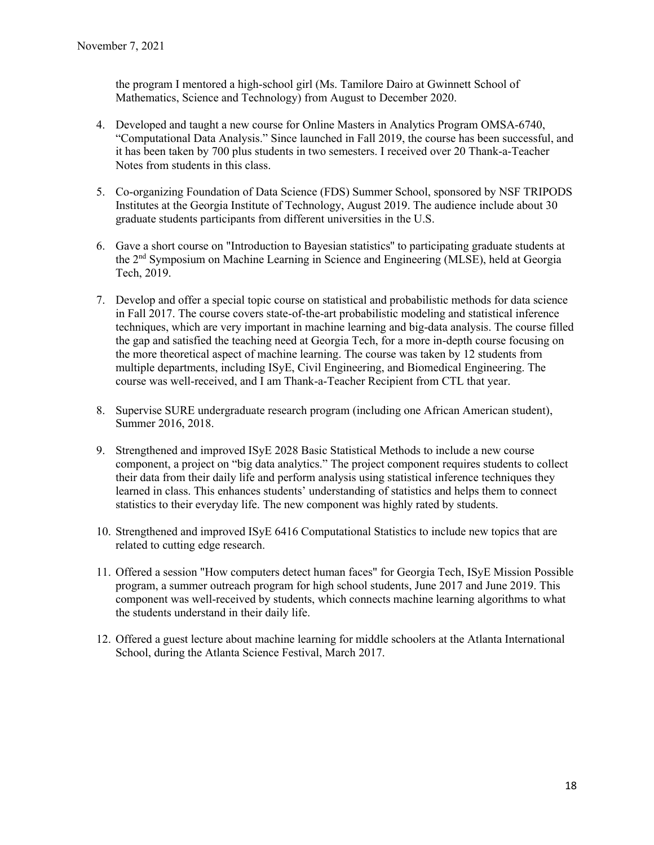the program I mentored a high-school girl (Ms. Tamilore Dairo at Gwinnett School of Mathematics, Science and Technology) from August to December 2020.

- 4. Developed and taught a new course for Online Masters in Analytics Program OMSA-6740, "Computational Data Analysis." Since launched in Fall 2019, the course has been successful, and it has been taken by 700 plus students in two semesters. I received over 20 Thank-a-Teacher Notes from students in this class.
- 5. Co-organizing Foundation of Data Science (FDS) Summer School, sponsored by NSF TRIPODS Institutes at the Georgia Institute of Technology, August 2019. The audience include about 30 graduate students participants from different universities in the U.S.
- 6. Gave a short course on "Introduction to Bayesian statistics'' to participating graduate students at the 2nd Symposium on Machine Learning in Science and Engineering (MLSE), held at Georgia Tech, 2019.
- 7. Develop and offer a special topic course on statistical and probabilistic methods for data science in Fall 2017. The course covers state-of-the-art probabilistic modeling and statistical inference techniques, which are very important in machine learning and big-data analysis. The course filled the gap and satisfied the teaching need at Georgia Tech, for a more in-depth course focusing on the more theoretical aspect of machine learning. The course was taken by 12 students from multiple departments, including ISyE, Civil Engineering, and Biomedical Engineering. The course was well-received, and I am Thank-a-Teacher Recipient from CTL that year.
- 8. Supervise SURE undergraduate research program (including one African American student), Summer 2016, 2018.
- 9. Strengthened and improved ISyE 2028 Basic Statistical Methods to include a new course component, a project on "big data analytics." The project component requires students to collect their data from their daily life and perform analysis using statistical inference techniques they learned in class. This enhances students' understanding of statistics and helps them to connect statistics to their everyday life. The new component was highly rated by students.
- 10. Strengthened and improved ISyE 6416 Computational Statistics to include new topics that are related to cutting edge research.
- 11. Offered a session "How computers detect human faces" for Georgia Tech, ISyE Mission Possible program, a summer outreach program for high school students, June 2017 and June 2019. This component was well-received by students, which connects machine learning algorithms to what the students understand in their daily life.
- 12. Offered a guest lecture about machine learning for middle schoolers at the Atlanta International School, during the Atlanta Science Festival, March 2017.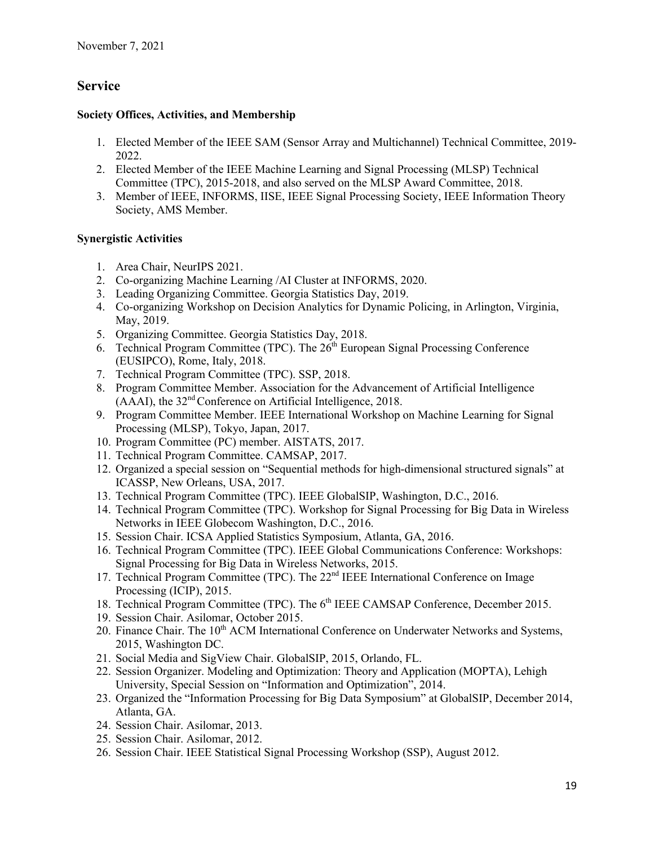# **Service**

# **Society Offices, Activities, and Membership**

- 1. Elected Member of the IEEE SAM (Sensor Array and Multichannel) Technical Committee, 2019- 2022.
- 2. Elected Member of the IEEE Machine Learning and Signal Processing (MLSP) Technical Committee (TPC), 2015-2018, and also served on the MLSP Award Committee, 2018.
- 3. Member of IEEE, INFORMS, IISE, IEEE Signal Processing Society, IEEE Information Theory Society, AMS Member.

# **Synergistic Activities**

- 1. Area Chair, NeurIPS 2021.
- 2. Co-organizing Machine Learning /AI Cluster at INFORMS, 2020.
- 3. Leading Organizing Committee. Georgia Statistics Day, 2019.
- 4. Co-organizing Workshop on Decision Analytics for Dynamic Policing, in Arlington, Virginia, May, 2019.
- 5. Organizing Committee. Georgia Statistics Day, 2018.
- 6. Technical Program Committee (TPC). The  $26<sup>th</sup>$  European Signal Processing Conference (EUSIPCO), Rome, Italy, 2018.
- 7. Technical Program Committee (TPC). SSP, 2018.
- 8. Program Committee Member. Association for the Advancement of Artificial Intelligence (AAAI), the 32nd Conference on Artificial Intelligence, 2018.
- 9. Program Committee Member. IEEE International Workshop on Machine Learning for Signal Processing (MLSP), Tokyo, Japan, 2017.
- 10. Program Committee (PC) member. AISTATS, 2017.
- 11. Technical Program Committee. CAMSAP, 2017.
- 12. Organized a special session on "Sequential methods for high-dimensional structured signals" at ICASSP, New Orleans, USA, 2017.
- 13. Technical Program Committee (TPC). IEEE GlobalSIP, Washington, D.C., 2016.
- 14. Technical Program Committee (TPC). Workshop for Signal Processing for Big Data in Wireless Networks in IEEE Globecom Washington, D.C., 2016.
- 15. Session Chair. ICSA Applied Statistics Symposium, Atlanta, GA, 2016.
- 16. Technical Program Committee (TPC). IEEE Global Communications Conference: Workshops: Signal Processing for Big Data in Wireless Networks, 2015.
- 17. Technical Program Committee (TPC). The 22<sup>nd</sup> IEEE International Conference on Image Processing (ICIP), 2015.
- 18. Technical Program Committee (TPC). The 6<sup>th</sup> IEEE CAMSAP Conference, December 2015.
- 19. Session Chair. Asilomar, October 2015.
- 20. Finance Chair. The  $10<sup>th</sup>$  ACM International Conference on Underwater Networks and Systems, 2015, Washington DC.
- 21. Social Media and SigView Chair. GlobalSIP, 2015, Orlando, FL.
- 22. Session Organizer. Modeling and Optimization: Theory and Application (MOPTA), Lehigh University, Special Session on "Information and Optimization", 2014.
- 23. Organized the "Information Processing for Big Data Symposium" at GlobalSIP, December 2014, Atlanta, GA.
- 24. Session Chair. Asilomar, 2013.
- 25. Session Chair. Asilomar, 2012.
- 26. Session Chair. IEEE Statistical Signal Processing Workshop (SSP), August 2012.